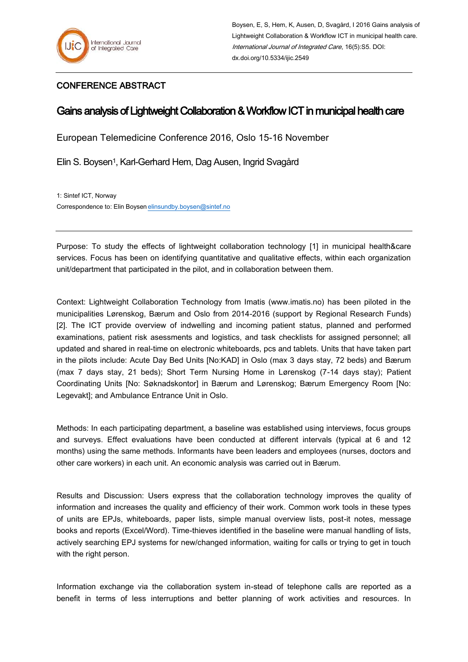## CONFERENCE ABSTRACT

## Gains analysis of Lightweight Collaboration & Workflow ICT in municipal health care

European Telemedicine Conference 2016, Oslo 15-16 November

Elin S. Boysen1, Karl-Gerhard Hem, Dag Ausen, Ingrid Svagård

1: Sintef ICT, Norway Correspondence to: Elin Boysen [elinsundby.boysen@sintef.no](mailto:elinsundby.boysen@sintef.no)

Purpose: To study the effects of lightweight collaboration technology [1] in municipal health&care services. Focus has been on identifying quantitative and qualitative effects, within each organization unit/department that participated in the pilot, and in collaboration between them.

Context: Lightweight Collaboration Technology from Imatis (www.imatis.no) has been piloted in the municipalities Lørenskog, Bærum and Oslo from 2014-2016 (support by Regional Research Funds) [2]. The ICT provide overview of indwelling and incoming patient status, planned and performed examinations, patient risk asessments and logistics, and task checklists for assigned personnel; all updated and shared in real-time on electronic whiteboards, pcs and tablets. Units that have taken part in the pilots include: Acute Day Bed Units [No:KAD] in Oslo (max 3 days stay, 72 beds) and Bærum (max 7 days stay, 21 beds); Short Term Nursing Home in Lørenskog (7-14 days stay); Patient Coordinating Units [No: Søknadskontor] in Bærum and Lørenskog; Bærum Emergency Room [No: Legevakt]; and Ambulance Entrance Unit in Oslo.

Methods: In each participating department, a baseline was established using interviews, focus groups and surveys. Effect evaluations have been conducted at different intervals (typical at 6 and 12 months) using the same methods. Informants have been leaders and employees (nurses, doctors and other care workers) in each unit. An economic analysis was carried out in Bærum.

Results and Discussion: Users express that the collaboration technology improves the quality of information and increases the quality and efficiency of their work. Common work tools in these types of units are EPJs, whiteboards, paper lists, simple manual overview lists, post-it notes, message books and reports (Excel/Word). Time-thieves identified in the baseline were manual handling of lists, actively searching EPJ systems for new/changed information, waiting for calls or trying to get in touch with the right person.

Information exchange via the collaboration system in-stead of telephone calls are reported as a benefit in terms of less interruptions and better planning of work activities and resources. In